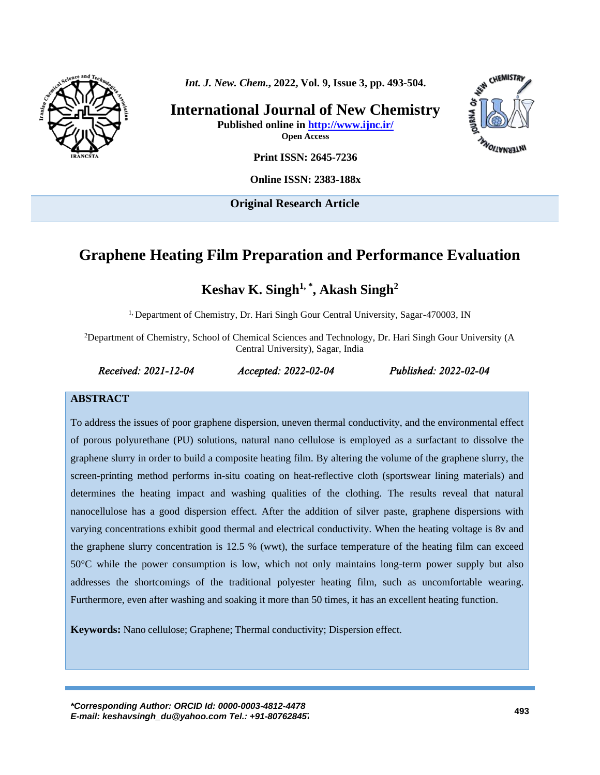

*Int. J. New. Chem.***, 2022, Vol. 9, Issue 3, pp. 493-504.**

**International Journal of New Chemistry Published online in<http://www.ijnc.ir/> Open Access**



**Print ISSN: 2645-7236**

**Online ISSN: 2383-188x** 

**Original Research Article**

# **Graphene Heating Film Preparation and Performance Evaluation**

**Keshav K. Singh1, \* , Akash Singh 2**

<sup>1,</sup> Department of Chemistry, Dr. Hari Singh Gour Central University, Sagar-470003, IN

<sup>2</sup>Department of Chemistry, School of Chemical Sciences and Technology, Dr. Hari Singh Gour University (A Central University), Sagar, India

*Received: 2021-12-04 Accepted: 2022-02-04 Published: 2022-02-04* 

#### **ABSTRACT**

To address the issues of poor graphene dispersion, uneven thermal conductivity, and the environmental effect of porous polyurethane (PU) solutions, natural nano cellulose is employed as a surfactant to dissolve the graphene slurry in order to build a composite heating film. By altering the volume of the graphene slurry, the screen-printing method performs in-situ coating on heat-reflective cloth (sportswear lining materials) and determines the heating impact and washing qualities of the clothing. The results reveal that natural nanocellulose has a good dispersion effect. After the addition of silver paste, graphene dispersions with varying concentrations exhibit good thermal and electrical conductivity. When the heating voltage is 8v and the graphene slurry concentration is 12.5 % (wwt), the surface temperature of the heating film can exceed 50°C while the power consumption is low, which not only maintains long-term power supply but also addresses the shortcomings of the traditional polyester heating film, such as uncomfortable wearing. Furthermore, even after washing and soaking it more than 50 times, it has an excellent heating function.

**Keywords:** Nano cellulose; Graphene; Thermal conductivity; Dispersion effect.

*\*Corresponding Author: ORCID Id[: 0000-0003-4812-4478](https://www.orcid.org/0000-0003-4812-4478) E-mail[: keshavsingh\\_du@yahoo.com](mailto:keshavsingh_du@yahoo.com) Tel.: +91-8076284572* **<sup>493</sup>**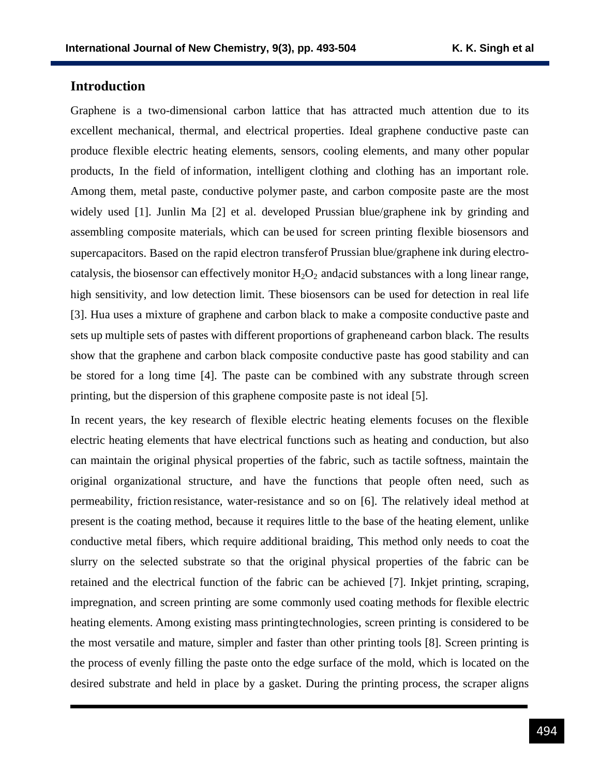### **Introduction**

Graphene is a two-dimensional carbon lattice that has attracted much attention due to its excellent mechanical, thermal, and electrical properties. Ideal graphene conductive paste can produce flexible electric heating elements, sensors, cooling elements, and many other popular products, In the field of information, intelligent clothing and clothing has an important role. Among them, metal paste, conductive polymer paste, and carbon composite paste are the most widely used [1]. Junlin Ma [2] et al. developed Prussian blue/graphene ink by grinding and assembling composite materials, which can be used for screen printing flexible biosensors and supercapacitors. Based on the rapid electron transferof Prussian blue/graphene ink during electrocatalysis, the biosensor can effectively monitor  $H_2O_2$  and acid substances with a long linear range, high sensitivity, and low detection limit. These biosensors can be used for detection in real life [3]. Hua uses a mixture of graphene and carbon black to make a composite conductive paste and sets up multiple sets of pastes with different proportions of grapheneand carbon black. The results show that the graphene and carbon black composite conductive paste has good stability and can be stored for a long time [4]. The paste can be combined with any substrate through screen printing, but the dispersion of this graphene composite paste is not ideal [5].

In recent years, the key research of flexible electric heating elements focuses on the flexible electric heating elements that have electrical functions such as heating and conduction, but also can maintain the original physical properties of the fabric, such as tactile softness, maintain the original organizational structure, and have the functions that people often need, such as permeability, friction resistance, water-resistance and so on [6]. The relatively ideal method at present is the coating method, because it requires little to the base of the heating element, unlike conductive metal fibers, which require additional braiding, This method only needs to coat the slurry on the selected substrate so that the original physical properties of the fabric can be retained and the electrical function of the fabric can be achieved [7]. Inkjet printing, scraping, impregnation, and screen printing are some commonly used coating methods for flexible electric heating elements. Among existing mass printingtechnologies, screen printing is considered to be the most versatile and mature, simpler and faster than other printing tools [8]. Screen printing is the process of evenly filling the paste onto the edge surface of the mold, which is located on the desired substrate and held in place by a gasket. During the printing process, the scraper aligns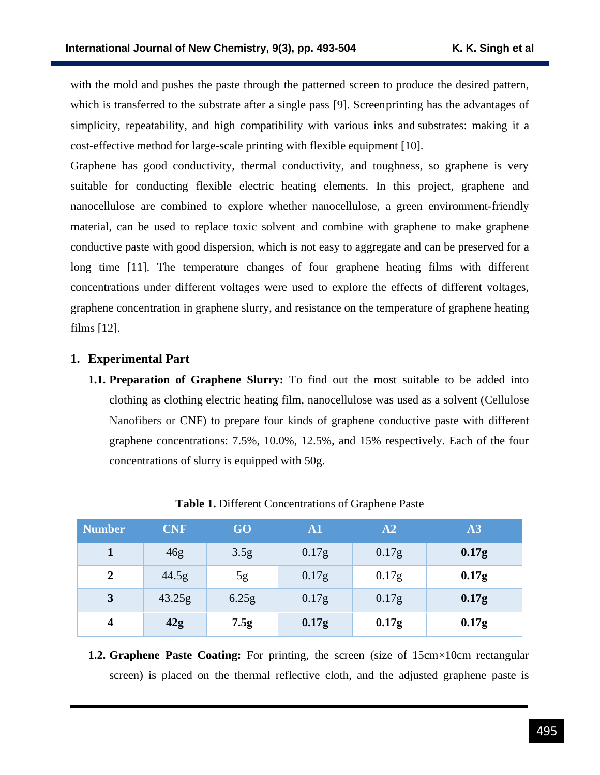with the mold and pushes the paste through the patterned screen to produce the desired pattern, which is transferred to the substrate after a single pass [9]. Screenprinting has the advantages of simplicity, repeatability, and high compatibility with various inks and substrates: making it a cost-effective method for large-scale printing with flexible equipment [10].

Graphene has good conductivity, thermal conductivity, and toughness, so graphene is very suitable for conducting flexible electric heating elements. In this project, graphene and nanocellulose are combined to explore whether nanocellulose, a green environment-friendly material, can be used to replace toxic solvent and combine with graphene to make graphene conductive paste with good dispersion, which is not easy to aggregate and can be preserved for a long time [11]. The temperature changes of four graphene heating films with different concentrations under different voltages were used to explore the effects of different voltages, graphene concentration in graphene slurry, and resistance on the temperature of graphene heating films [12].

### **1. Experimental Part**

**1.1. Preparation of Graphene Slurry:** To find out the most suitable to be added into clothing as clothing electric heating film, nanocellulose was used as a solvent (Cellulose Nanofibers or CNF) to prepare four kinds of graphene conductive paste with different graphene concentrations: 7.5%, 10.0%, 12.5%, and 15% respectively. Each of the four concentrations of slurry is equipped with 50g.

| <b>Number</b>           | <b>CNF</b> | GO <sub>1</sub> | $\mathbf{A1}$ | A2    | A3                |
|-------------------------|------------|-----------------|---------------|-------|-------------------|
|                         | 46g        | 3.5g            | 0.17g         | 0.17g | 0.17 <sub>g</sub> |
| $\overline{2}$          | 44.5g      | 5g              | 0.17g         | 0.17g | 0.17 <sub>g</sub> |
| 3                       | 43.25g     | 6.25g           | 0.17g         | 0.17g | 0.17 <sub>g</sub> |
| $\overline{\mathbf{4}}$ | 42g        | 7.5g            | 0.17g         | 0.17g | 0.17g             |

**Table 1.** Different Concentrations of Graphene Paste

**1.2. Graphene Paste Coating:** For printing, the screen (size of 15cm×10cm rectangular screen) is placed on the thermal reflective cloth, and the adjusted graphene paste is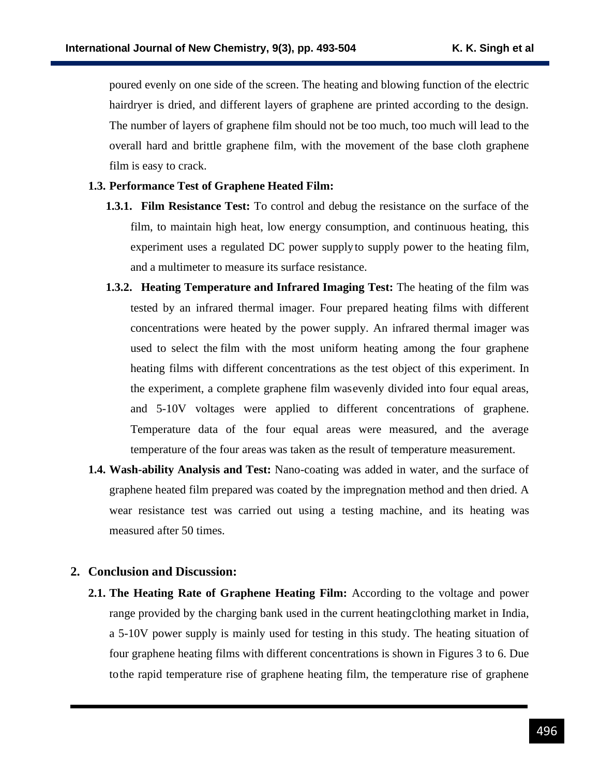poured evenly on one side of the screen. The heating and blowing function of the electric hairdryer is dried, and different layers of graphene are printed according to the design. The number of layers of graphene film should not be too much, too much will lead to the overall hard and brittle graphene film, with the movement of the base cloth graphene film is easy to crack.

#### **1.3. Performance Test of Graphene Heated Film:**

- **1.3.1. Film Resistance Test:** To control and debug the resistance on the surface of the film, to maintain high heat, low energy consumption, and continuous heating, this experiment uses a regulated DC power supplyto supply power to the heating film, and a multimeter to measure its surface resistance.
- **1.3.2. Heating Temperature and Infrared Imaging Test:** The heating of the film was tested by an infrared thermal imager. Four prepared heating films with different concentrations were heated by the power supply. An infrared thermal imager was used to select the film with the most uniform heating among the four graphene heating films with different concentrations as the test object of this experiment. In the experiment, a complete graphene film wasevenly divided into four equal areas, and 5-10V voltages were applied to different concentrations of graphene. Temperature data of the four equal areas were measured, and the average temperature of the four areas was taken as the result of temperature measurement.
- **1.4. Wash-ability Analysis and Test:** Nano-coating was added in water, and the surface of graphene heated film prepared was coated by the impregnation method and then dried. A wear resistance test was carried out using a testing machine, and its heating was measured after 50 times.

#### **2. Conclusion and Discussion:**

**2.1. The Heating Rate of Graphene Heating Film:** According to the voltage and power range provided by the charging bank used in the current heatingclothing market in India, a 5-10V power supply is mainly used for testing in this study. The heating situation of four graphene heating films with different concentrations is shown in Figures 3 to 6. Due tothe rapid temperature rise of graphene heating film, the temperature rise of graphene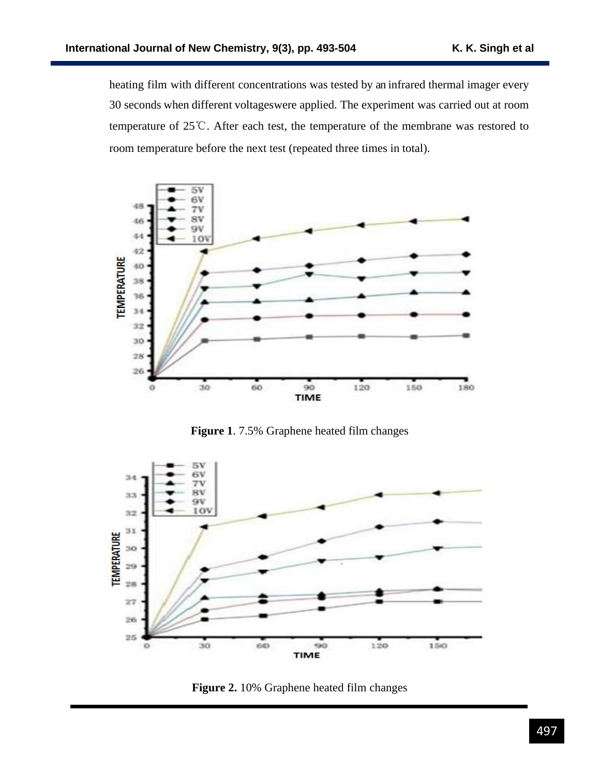heating film with different concentrations was tested by an infrared thermal imager every 30 seconds when different voltageswere applied. The experiment was carried out at room temperature of 25℃. After each test, the temperature of the membrane was restored to room temperature before the next test (repeated three times in total).



**Figure 1**. 7.5% Graphene heated film changes



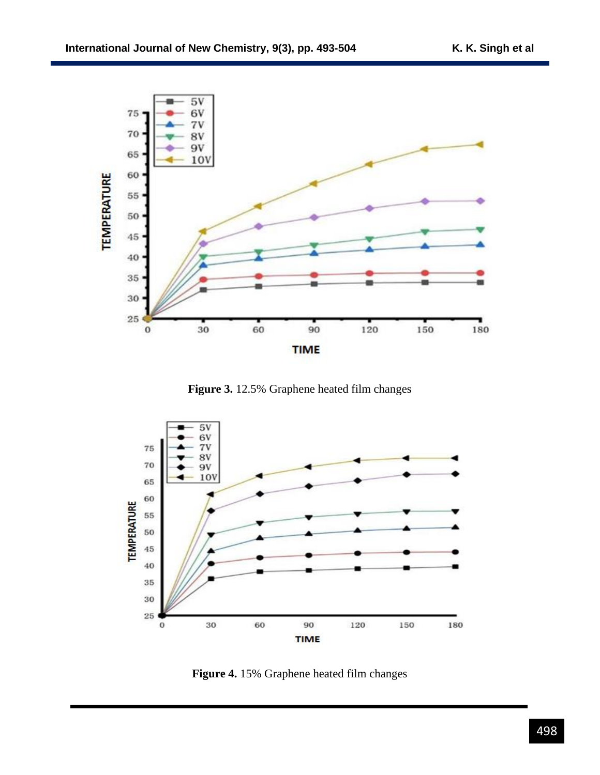

**Figure 3.** 12.5% Graphene heated film changes



**Figure 4.** 15% Graphene heated film changes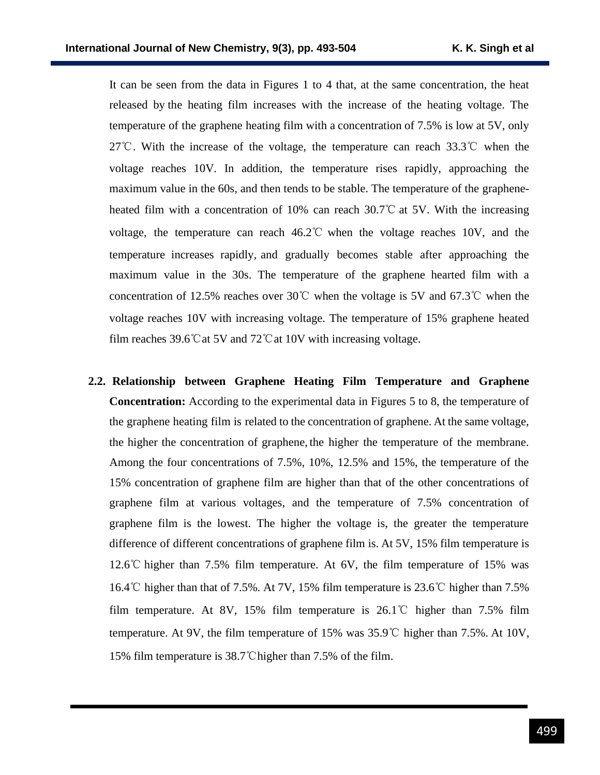It can be seen from the data in Figures 1 to 4 that, at the same concentration, the heat released by the heating film increases with the increase of the heating voltage. The temperature of the graphene heating film with a concentration of 7.5% is low at 5V, only 27℃. With the increase of the voltage, the temperature can reach 33.3℃ when the voltage reaches 10V. In addition, the temperature rises rapidly, approaching the maximum value in the 60s, and then tends to be stable. The temperature of the grapheneheated film with a concentration of 10% can reach 30.7℃ at 5V. With the increasing voltage, the temperature can reach 46.2℃ when the voltage reaches 10V, and the temperature increases rapidly, and gradually becomes stable after approaching the maximum value in the 30s. The temperature of the graphene hearted film with a concentration of 12.5% reaches over 30℃ when the voltage is 5V and 67.3℃ when the voltage reaches 10V with increasing voltage. The temperature of 15% graphene heated film reaches 39.6℃at 5V and 72℃at 10V with increasing voltage.

**2.2. Relationship between Graphene Heating Film Temperature and Graphene Concentration:** According to the experimental data in Figures 5 to 8, the temperature of the graphene heating film is related to the concentration of graphene. At the same voltage, the higher the concentration of graphene, the higher the temperature of the membrane. Among the four concentrations of 7.5%, 10%, 12.5% and 15%, the temperature of the 15% concentration of graphene film are higher than that of the other concentrations of graphene film at various voltages, and the temperature of 7.5% concentration of graphene film is the lowest. The higher the voltage is, the greater the temperature difference of different concentrations of graphene film is. At 5V, 15% film temperature is 12.6℃ higher than 7.5% film temperature. At 6V, the film temperature of 15% was 16.4℃ higher than that of 7.5%. At 7V, 15% film temperature is 23.6℃ higher than 7.5% film temperature. At 8V, 15% film temperature is  $26.1^{\circ}$  higher than 7.5% film temperature. At 9V, the film temperature of 15% was 35.9℃ higher than 7.5%. At 10V, 15% film temperature is 38.7℃higher than 7.5% of the film.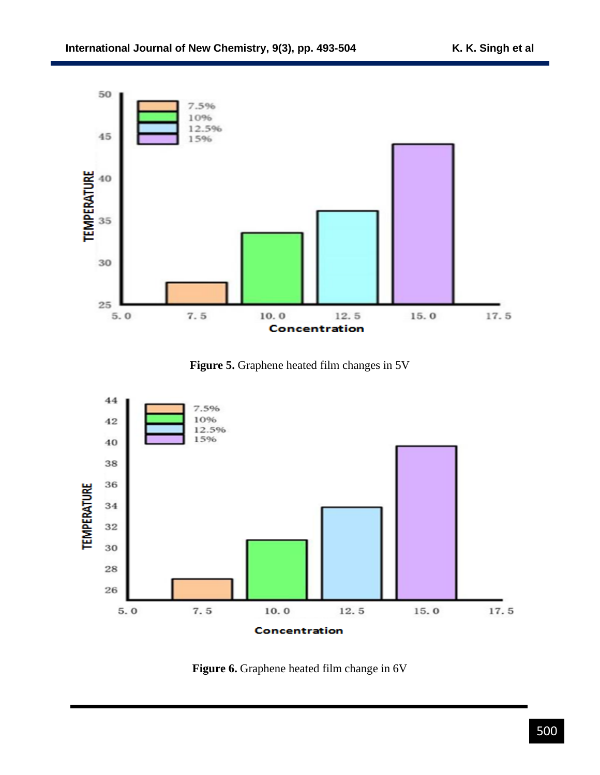

**Figure 5.** Graphene heated film changes in 5V



**Figure 6.** Graphene heated film change in 6V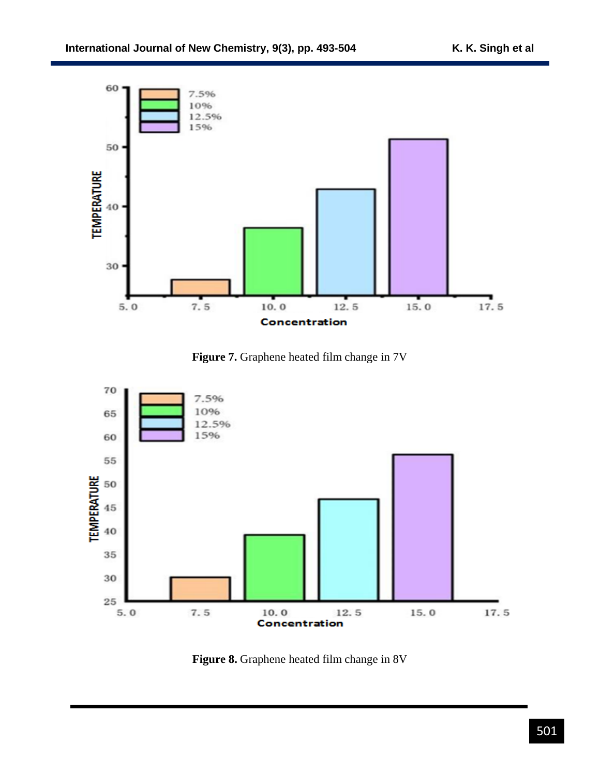

**Figure 7.** Graphene heated film change in 7V



**Figure 8.** Graphene heated film change in 8V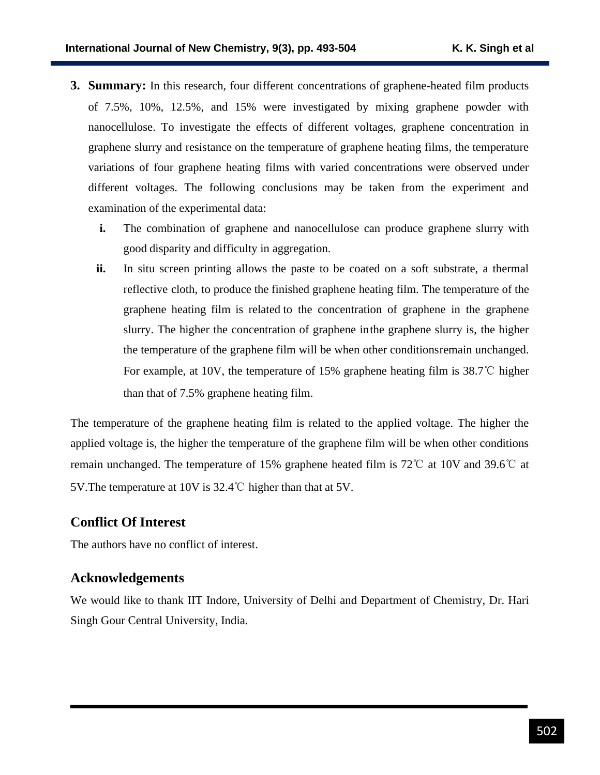- **3. Summary:** In this research, four different concentrations of graphene-heated film products of 7.5%, 10%, 12.5%, and 15% were investigated by mixing graphene powder with nanocellulose. To investigate the effects of different voltages, graphene concentration in graphene slurry and resistance on the temperature of graphene heating films, the temperature variations of four graphene heating films with varied concentrations were observed under different voltages. The following conclusions may be taken from the experiment and examination of the experimental data:
	- **i.** The combination of graphene and nanocellulose can produce graphene slurry with good disparity and difficulty in aggregation.
	- **ii.** In situ screen printing allows the paste to be coated on a soft substrate, a thermal reflective cloth, to produce the finished graphene heating film. The temperature of the graphene heating film is related to the concentration of graphene in the graphene slurry. The higher the concentration of graphene inthe graphene slurry is, the higher the temperature of the graphene film will be when other conditionsremain unchanged. For example, at 10V, the temperature of 15% graphene heating film is 38.7℃ higher than that of 7.5% graphene heating film.

The temperature of the graphene heating film is related to the applied voltage. The higher the applied voltage is, the higher the temperature of the graphene film will be when other conditions remain unchanged. The temperature of 15% graphene heated film is 72℃ at 10V and 39.6℃ at 5V.The temperature at 10V is 32.4℃ higher than that at 5V.

### **Conflict Of Interest**

The authors have no conflict of interest.

### **Acknowledgements**

We would like to thank IIT Indore, University of Delhi and Department of Chemistry, Dr. Hari Singh Gour Central University, India.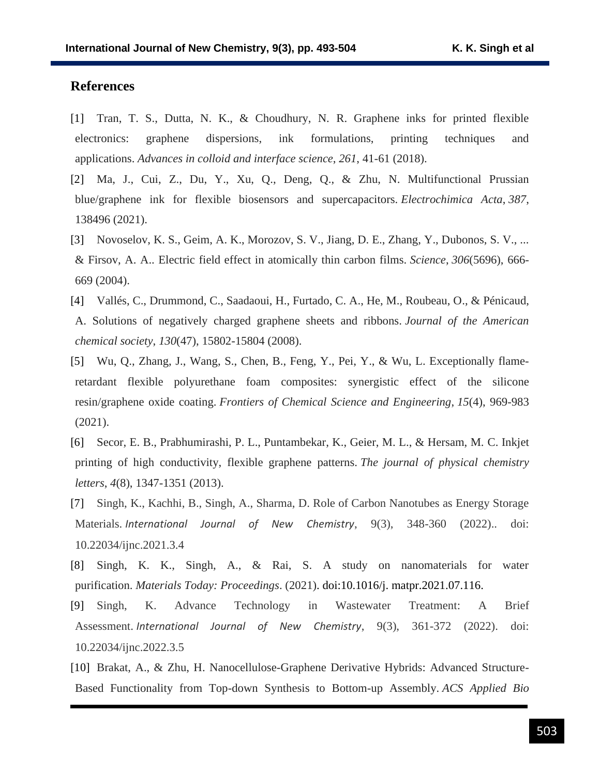### **References**

- [1] Tran, T. S., Dutta, N. K., & Choudhury, N. R. Graphene inks for printed flexible electronics: graphene dispersions, ink formulations, printing techniques and applications. *Advances in colloid and interface science*, *261*, 41-61 (2018).
- [2] Ma, J., Cui, Z., Du, Y., Xu, Q., Deng, Q., & Zhu, N. Multifunctional Prussian blue/graphene ink for flexible biosensors and supercapacitors. *Electrochimica Acta*, *387*, 138496 (2021).
- [3] Novoselov, K. S., Geim, A. K., Morozov, S. V., Jiang, D. E., Zhang, Y., Dubonos, S. V., ... & Firsov, A. A.. Electric field effect in atomically thin carbon films. *Science*, *306*(5696), 666- 669 (2004).
- [4] Vallés, C., Drummond, C., Saadaoui, H., Furtado, C. A., He, M., Roubeau, O., & Pénicaud, A. Solutions of negatively charged graphene sheets and ribbons. *Journal of the American chemical society*, *130*(47), 15802-15804 (2008).
- [5] Wu, Q., Zhang, J., Wang, S., Chen, B., Feng, Y., Pei, Y., & Wu, L. Exceptionally flameretardant flexible polyurethane foam composites: synergistic effect of the silicone resin/graphene oxide coating. *Frontiers of Chemical Science and Engineering*, *15*(4), 969-983 (2021).
- [6] Secor, E. B., Prabhumirashi, P. L., Puntambekar, K., Geier, M. L., & Hersam, M. C. Inkjet printing of high conductivity, flexible graphene patterns. *The journal of physical chemistry letters*, *4*(8), 1347-1351 (2013).
- [7] Singh, K., Kachhi, B., Singh, A., Sharma, D. Role of Carbon Nanotubes as Energy Storage Materials. *International Journal of New Chemistry*, 9(3), 348-360 (2022).. doi: 10.22034/ijnc.2021.3.4
- [8] Singh, K. K., Singh, A., & Rai, S. A study on nanomaterials for water purification. *Materials Today: Proceedings*. (2021). doi:10.1016/j. matpr.2021.07.116.
- [9] Singh, K. Advance Technology in Wastewater Treatment: A Brief Assessment. *International Journal of New Chemistry*, 9(3), 361-372 (2022). doi: 10.22034/ijnc.2022.3.5
- [10] Brakat, A., & Zhu, H. Nanocellulose-Graphene Derivative Hybrids: Advanced Structure-Based Functionality from Top-down Synthesis to Bottom-up Assembly. *ACS Applied Bio*